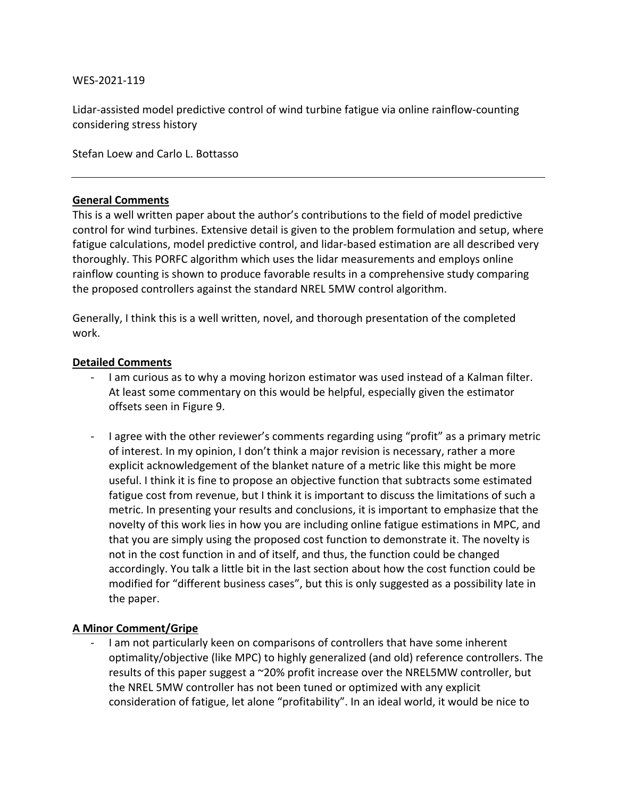## WES-2021-119

Lidar-assisted model predictive control of wind turbine fatigue via online rainflow-counting considering stress history

Stefan Loew and Carlo L. Bottasso

## **General Comments**

This is a well written paper about the author's contributions to the field of model predictive control for wind turbines. Extensive detail is given to the problem formulation and setup, where fatigue calculations, model predictive control, and lidar-based estimation are all described very thoroughly. This PORFC algorithm which uses the lidar measurements and employs online rainflow counting is shown to produce favorable results in a comprehensive study comparing the proposed controllers against the standard NREL 5MW control algorithm.

Generally, I think this is a well written, novel, and thorough presentation of the completed work.

## **Detailed Comments**

- I am curious as to why a moving horizon estimator was used instead of a Kalman filter. At least some commentary on this would be helpful, especially given the estimator offsets seen in Figure 9.
- I agree with the other reviewer's comments regarding using "profit" as a primary metric of interest. In my opinion, I don't think a major revision is necessary, rather a more explicit acknowledgement of the blanket nature of a metric like this might be more useful. I think it is fine to propose an objective function that subtracts some estimated fatigue cost from revenue, but I think it is important to discuss the limitations of such a metric. In presenting your results and conclusions, it is important to emphasize that the novelty of this work lies in how you are including online fatigue estimations in MPC, and that you are simply using the proposed cost function to demonstrate it. The novelty is not in the cost function in and of itself, and thus, the function could be changed accordingly. You talk a little bit in the last section about how the cost function could be modified for "different business cases", but this is only suggested as a possibility late in the paper.

## **A Minor Comment/Gripe**

I am not particularly keen on comparisons of controllers that have some inherent optimality/objective (like MPC) to highly generalized (and old) reference controllers. The results of this paper suggest a ~20% profit increase over the NREL5MW controller, but the NREL 5MW controller has not been tuned or optimized with any explicit consideration of fatigue, let alone "profitability". In an ideal world, it would be nice to